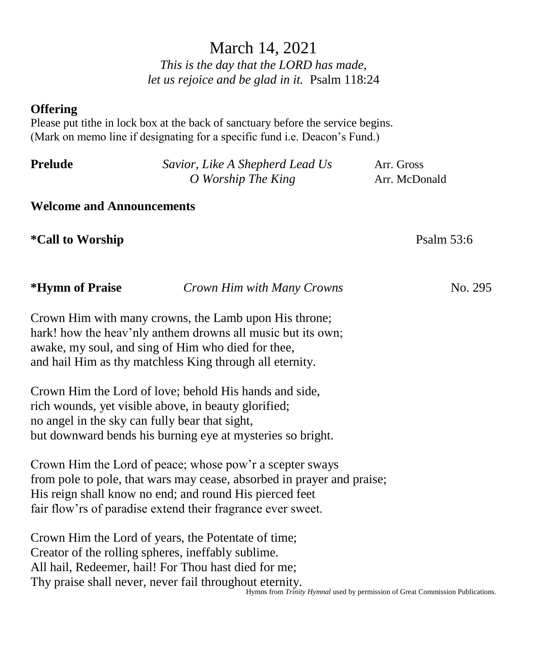# March 14, 2021

*This is the day that the LORD has made, let us rejoice and be glad in it.* Psalm 118:24

### **Offering**

Please put tithe in lock box at the back of sanctuary before the service begins. (Mark on memo line if designating for a specific fund i.e. Deacon's Fund.)

| <b>Prelude</b> | Savior, Like A Shepherd Lead Us | Arr. Gross    |
|----------------|---------------------------------|---------------|
|                | O Worship The King              | Arr. McDonald |

# **Welcome and Announcements**

**\*Call to Worship** Psalm 53:6

| <i><b>*Hymn of Praise</b></i>                  | Crown Him with Many Crowns                                                                                                                                                                                                                                                                                     | No. 295 |
|------------------------------------------------|----------------------------------------------------------------------------------------------------------------------------------------------------------------------------------------------------------------------------------------------------------------------------------------------------------------|---------|
|                                                | Crown Him with many crowns, the Lamb upon His throne;<br>hark! how the heav'nly anthem drowns all music but its own;<br>awake, my soul, and sing of Him who died for thee,<br>and hail Him as thy matchless King through all eternity.                                                                         |         |
| no angel in the sky can fully bear that sight, | Crown Him the Lord of love; behold His hands and side,<br>rich wounds, yet visible above, in beauty glorified;<br>but downward bends his burning eye at mysteries so bright.                                                                                                                                   |         |
|                                                | Crown Him the Lord of peace; whose pow'r a scepter sways<br>from pole to pole, that wars may cease, absorbed in prayer and praise;<br>His reign shall know no end; and round His pierced feet<br>fair flow'rs of paradise extend their fragrance ever sweet.                                                   |         |
|                                                | Crown Him the Lord of years, the Potentate of time;<br>Creator of the rolling spheres, ineffably sublime.<br>All hail, Redeemer, hail! For Thou hast died for me;<br>Thy praise shall never, never fail throughout eternity.<br>Hymns from Trinity Hymnal used by permission of Great Commission Publications. |         |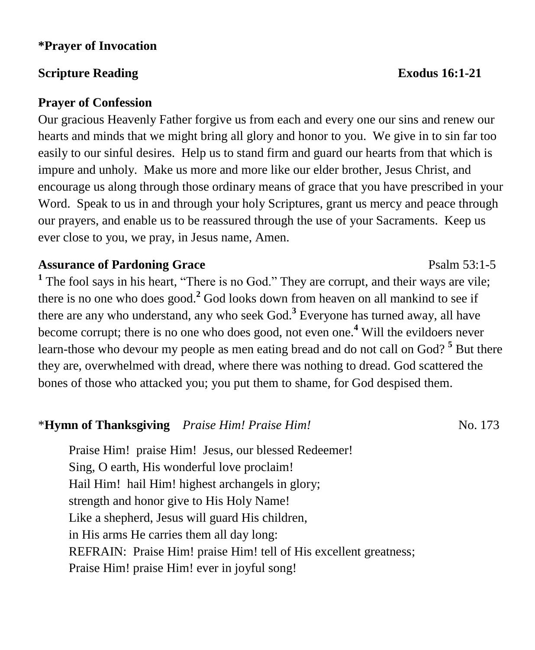## **\*Prayer of Invocation**

#### **Scripture Reading Exodus** 16:1-21

#### **Prayer of Confession**

Our gracious Heavenly Father forgive us from each and every one our sins and renew our hearts and minds that we might bring all glory and honor to you. We give in to sin far too easily to our sinful desires. Help us to stand firm and guard our hearts from that which is impure and unholy. Make us more and more like our elder brother, Jesus Christ, and encourage us along through those ordinary means of grace that you have prescribed in your Word. Speak to us in and through your holy Scriptures, grant us mercy and peace through our prayers, and enable us to be reassured through the use of your Sacraments. Keep us ever close to you, we pray, in Jesus name, Amen.

#### **Assurance of Pardoning Grace**  Psalm 53:1-5

<sup>1</sup> The fool says in his heart, "There is no God." They are corrupt, and their ways are vile; there is no one who does good.**<sup>2</sup>** God looks down from heaven on all mankind to see if there are any who understand, any who seek God.**<sup>3</sup>** Everyone has turned away, all have become corrupt; there is no one who does good, not even one.**<sup>4</sup>** Will the evildoers never learn-those who devour my people as men eating bread and do not call on God? **<sup>5</sup>** But there they are, overwhelmed with dread, where there was nothing to dread. God scattered the bones of those who attacked you; you put them to shame, for God despised them.

# \***Hymn of Thanksgiving** *Praise Him! Praise Him!* No. 173

Praise Him! praise Him! Jesus, our blessed Redeemer! Sing, O earth, His wonderful love proclaim! Hail Him! hail Him! highest archangels in glory; strength and honor give to His Holy Name! Like a shepherd, Jesus will guard His children, in His arms He carries them all day long: REFRAIN: Praise Him! praise Him! tell of His excellent greatness; Praise Him! praise Him! ever in joyful song!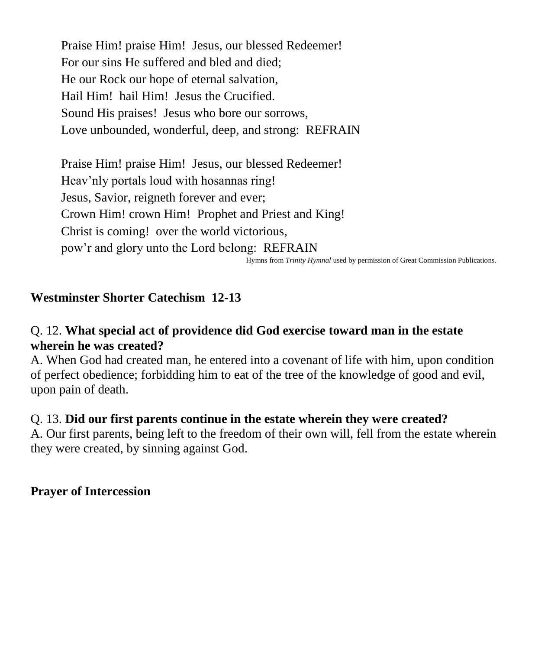Praise Him! praise Him! Jesus, our blessed Redeemer! For our sins He suffered and bled and died; He our Rock our hope of eternal salvation, Hail Him! hail Him! Jesus the Crucified. Sound His praises! Jesus who bore our sorrows, Love unbounded, wonderful, deep, and strong: REFRAIN

Praise Him! praise Him! Jesus, our blessed Redeemer! Heav'nly portals loud with hosannas ring! Jesus, Savior, reigneth forever and ever; Crown Him! crown Him! Prophet and Priest and King! Christ is coming! over the world victorious, pow'r and glory unto the Lord belong: REFRAIN Hymns from *Trinity Hymnal* used by permission of Great Commission Publications.

# **Westminster Shorter Catechism 12-13**

# Q. 12. **What special act of providence did God exercise toward man in the estate wherein he was created?**

A. When God had created man, he entered into a covenant of life with him, upon condition of perfect obedience; forbidding him to eat of the tree of the knowledge of good and evil, upon pain of death.

# Q. 13. **Did our first parents continue in the estate wherein they were created?**

A. Our first parents, being left to the freedom of their own will, fell from the estate wherein they were created, by sinning against God.

## **Prayer of Intercession**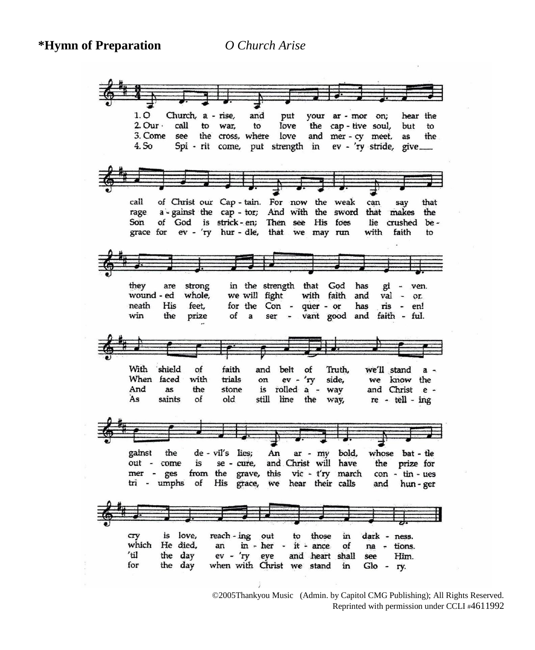

©2005Thankyou Music (Admin. by Capitol CMG Publishing); All Rights Reserved. Reprinted with permission under CCLI #4611992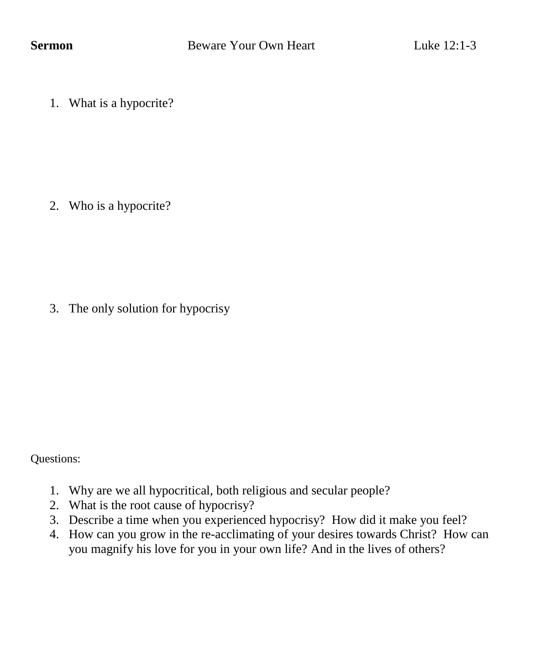1. What is a hypocrite?

2. Who is a hypocrite?

3. The only solution for hypocrisy

Questions:

- 1. Why are we all hypocritical, both religious and secular people?
- 2. What is the root cause of hypocrisy?
- 3. Describe a time when you experienced hypocrisy? How did it make you feel?
- 4. How can you grow in the re-acclimating of your desires towards Christ? How can you magnify his love for you in your own life? And in the lives of others?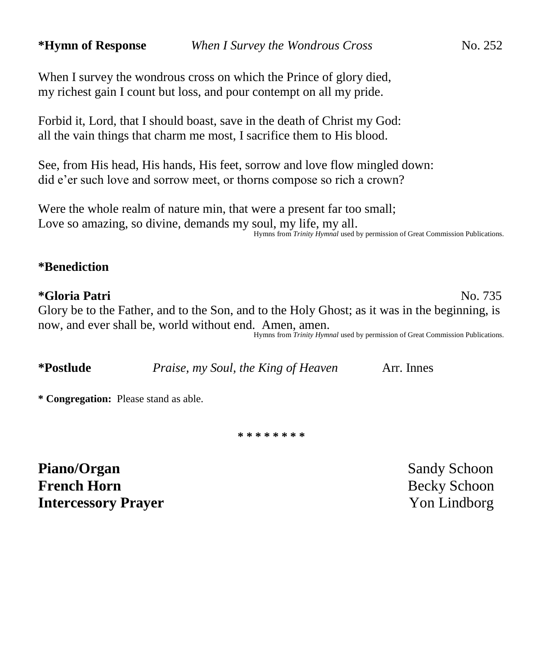When I survey the wondrous cross on which the Prince of glory died, my richest gain I count but loss, and pour contempt on all my pride.

Forbid it, Lord, that I should boast, save in the death of Christ my God: all the vain things that charm me most, I sacrifice them to His blood.

See, from His head, His hands, His feet, sorrow and love flow mingled down: did e'er such love and sorrow meet, or thorns compose so rich a crown?

Were the whole realm of nature min, that were a present far too small; Love so amazing, so divine, demands my soul, my life, my all. Hymns from *Trinity Hymnal* used by permission of Great Commission Publications.

#### **\*Benediction**

#### **\*Gloria Patri** No. 735

Glory be to the Father, and to the Son, and to the Holy Ghost; as it was in the beginning, is now, and ever shall be, world without end. Amen, amen.

Hymns from *Trinity Hymnal* used by permission of Great Commission Publications.

**\*Postlude** *Praise, my Soul, the King of Heaven* Arr. Innes

**\* Congregation:** Please stand as able.

**\* \* \* \* \* \* \* \***

**Piano/Organ Sandy Schoon French Horn** Becky Schoon **Intercessory Prayer** Yon Lindborg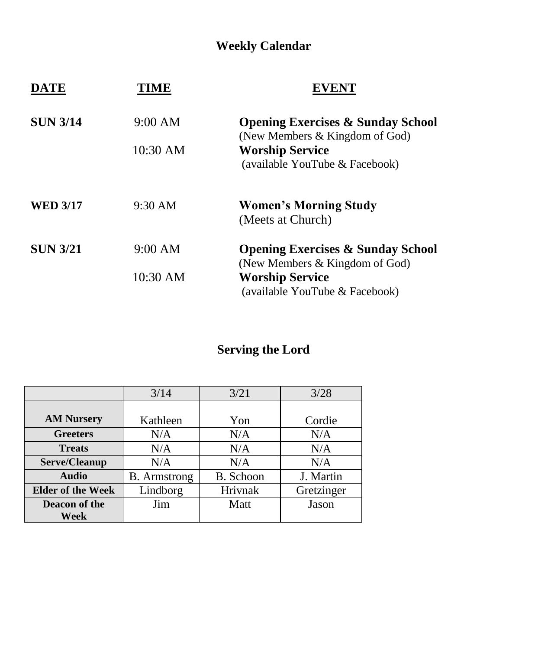# **Weekly Calendar**

| <b>DATE</b>     | TIME              | <b>EVENT</b>                                                                   |
|-----------------|-------------------|--------------------------------------------------------------------------------|
| <b>SUN 3/14</b> | 9:00 AM           | <b>Opening Exercises &amp; Sunday School</b><br>(New Members & Kingdom of God) |
|                 | 10:30 AM          | <b>Worship Service</b><br>(available YouTube & Facebook)                       |
| <b>WED 3/17</b> | $9:30 \text{ AM}$ | <b>Women's Morning Study</b><br>(Meets at Church)                              |
| <b>SUN 3/21</b> | 9:00 AM           | <b>Opening Exercises &amp; Sunday School</b><br>(New Members & Kingdom of God) |
|                 | 10:30 AM          | <b>Worship Service</b><br>(available YouTube & Facebook)                       |

# **Serving the Lord**

|                          | 3/14                | 3/21      | 3/28       |
|--------------------------|---------------------|-----------|------------|
|                          |                     |           |            |
| <b>AM Nursery</b>        | Kathleen            | Yon       | Cordie     |
| <b>Greeters</b>          | N/A                 | N/A       | N/A        |
| <b>Treats</b>            | N/A                 | N/A       | N/A        |
| Serve/Cleanup            | N/A                 | N/A       | N/A        |
| <b>Audio</b>             | <b>B.</b> Armstrong | B. Schoon | J. Martin  |
| <b>Elder of the Week</b> | Lindborg            | Hrivnak   | Gretzinger |
| Deacon of the            | Jim                 | Matt      | Jason      |
| Week                     |                     |           |            |